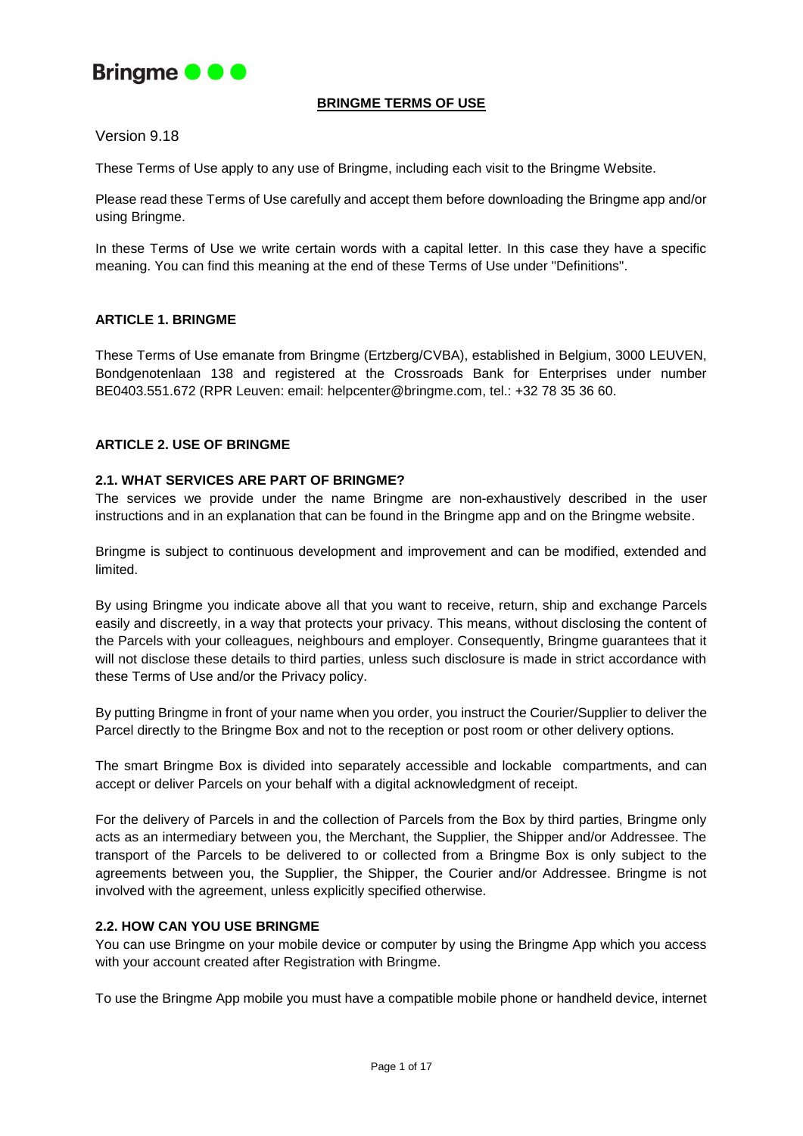

## **BRINGME TERMS OF USE**

Version 9.18

These Terms of Use apply to any use of Bringme, including each visit to the Bringme Website.

Please read these Terms of Use carefully and accept them before downloading the Bringme app and/or using Bringme.

In these Terms of Use we write certain words with a capital letter. In this case they have a specific meaning. You can find this meaning at the end of these Terms of Use under "Definitions".

## **ARTICLE 1. BRINGME**

These Terms of Use emanate from Bringme (Ertzberg/CVBA), established in Belgium, 3000 LEUVEN, Bondgenotenlaan 138 and registered at the Crossroads Bank for Enterprises under number BE0403.551.672 (RPR Leuven: email: helpcenter@bringme.com, tel.: +32 78 35 36 60.

#### **ARTICLE 2. USE OF BRINGME**

#### **2.1. WHAT SERVICES ARE PART OF BRINGME?**

The services we provide under the name Bringme are non-exhaustively described in the user instructions and in an explanation that can be found in the Bringme app and on the Bringme website.

Bringme is subject to continuous development and improvement and can be modified, extended and limited.

By using Bringme you indicate above all that you want to receive, return, ship and exchange Parcels easily and discreetly, in a way that protects your privacy. This means, without disclosing the content of the Parcels with your colleagues, neighbours and employer. Consequently, Bringme guarantees that it will not disclose these details to third parties, unless such disclosure is made in strict accordance with these Terms of Use and/or the Privacy policy.

By putting Bringme in front of your name when you order, you instruct the Courier/Supplier to deliver the Parcel directly to the Bringme Box and not to the reception or post room or other delivery options.

The smart Bringme Box is divided into separately accessible and lockable compartments, and can accept or deliver Parcels on your behalf with a digital acknowledgment of receipt.

For the delivery of Parcels in and the collection of Parcels from the Box by third parties, Bringme only acts as an intermediary between you, the Merchant, the Supplier, the Shipper and/or Addressee. The transport of the Parcels to be delivered to or collected from a Bringme Box is only subject to the agreements between you, the Supplier, the Shipper, the Courier and/or Addressee. Bringme is not involved with the agreement, unless explicitly specified otherwise.

#### **2.2. HOW CAN YOU USE BRINGME**

You can use Bringme on your mobile device or computer by using the Bringme App which you access with your account created after Registration with Bringme.

To use the Bringme App mobile you must have a compatible mobile phone or handheld device, internet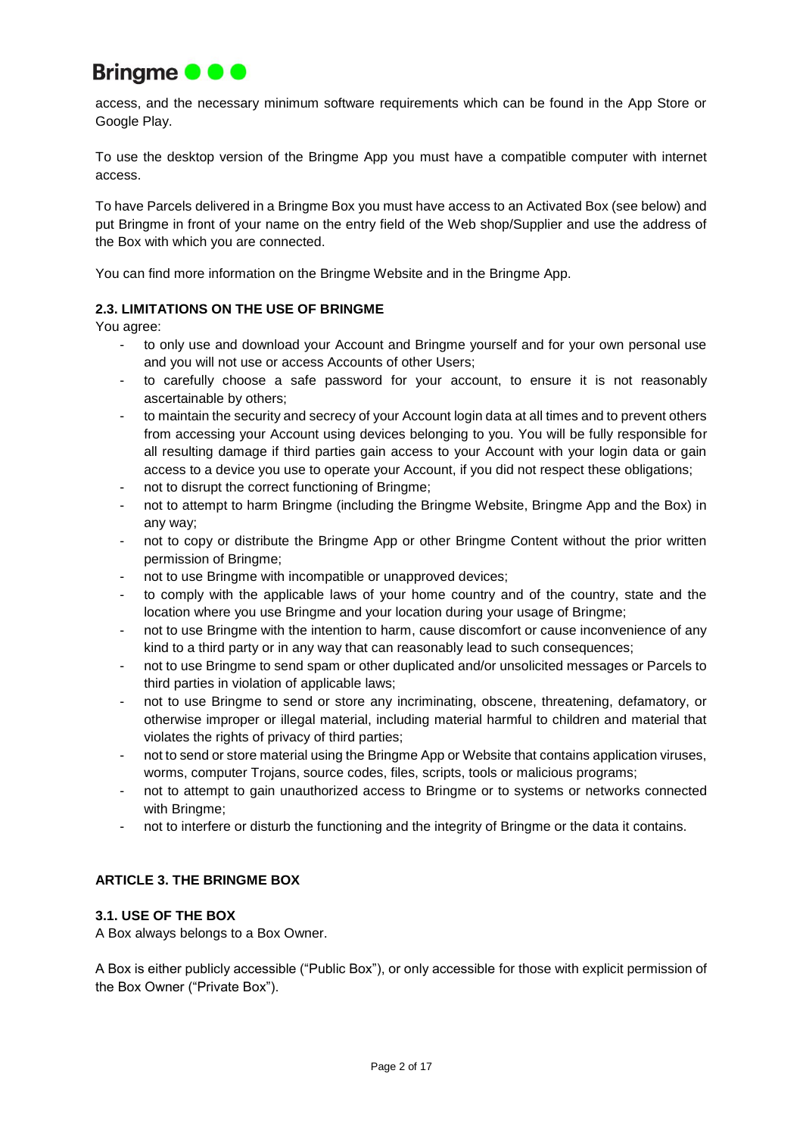

access, and the necessary minimum software requirements which can be found in the App Store or Google Play.

To use the desktop version of the Bringme App you must have a compatible computer with internet access.

To have Parcels delivered in a Bringme Box you must have access to an Activated Box (see below) and put Bringme in front of your name on the entry field of the Web shop/Supplier and use the address of the Box with which you are connected.

You can find more information on the Bringme Website and in the Bringme App.

## **2.3. LIMITATIONS ON THE USE OF BRINGME**

You agree:

- to only use and download your Account and Bringme yourself and for your own personal use and you will not use or access Accounts of other Users;
- to carefully choose a safe password for your account, to ensure it is not reasonably ascertainable by others;
- to maintain the security and secrecy of your Account login data at all times and to prevent others from accessing your Account using devices belonging to you. You will be fully responsible for all resulting damage if third parties gain access to your Account with your login data or gain access to a device you use to operate your Account, if you did not respect these obligations;
- not to disrupt the correct functioning of Bringme;
- not to attempt to harm Bringme (including the Bringme Website, Bringme App and the Box) in any way;
- not to copy or distribute the Bringme App or other Bringme Content without the prior written permission of Bringme;
- not to use Bringme with incompatible or unapproved devices;
- to comply with the applicable laws of your home country and of the country, state and the location where you use Bringme and your location during your usage of Bringme;
- not to use Bringme with the intention to harm, cause discomfort or cause inconvenience of any kind to a third party or in any way that can reasonably lead to such consequences;
- not to use Bringme to send spam or other duplicated and/or unsolicited messages or Parcels to third parties in violation of applicable laws;
- not to use Bringme to send or store any incriminating, obscene, threatening, defamatory, or otherwise improper or illegal material, including material harmful to children and material that violates the rights of privacy of third parties;
- not to send or store material using the Bringme App or Website that contains application viruses, worms, computer Trojans, source codes, files, scripts, tools or malicious programs;
- not to attempt to gain unauthorized access to Bringme or to systems or networks connected with Bringme;
- not to interfere or disturb the functioning and the integrity of Bringme or the data it contains.

# **ARTICLE 3. THE BRINGME BOX**

## **3.1. USE OF THE BOX**

A Box always belongs to a Box Owner.

A Box is either publicly accessible ("Public Box"), or only accessible for those with explicit permission of the Box Owner ("Private Box").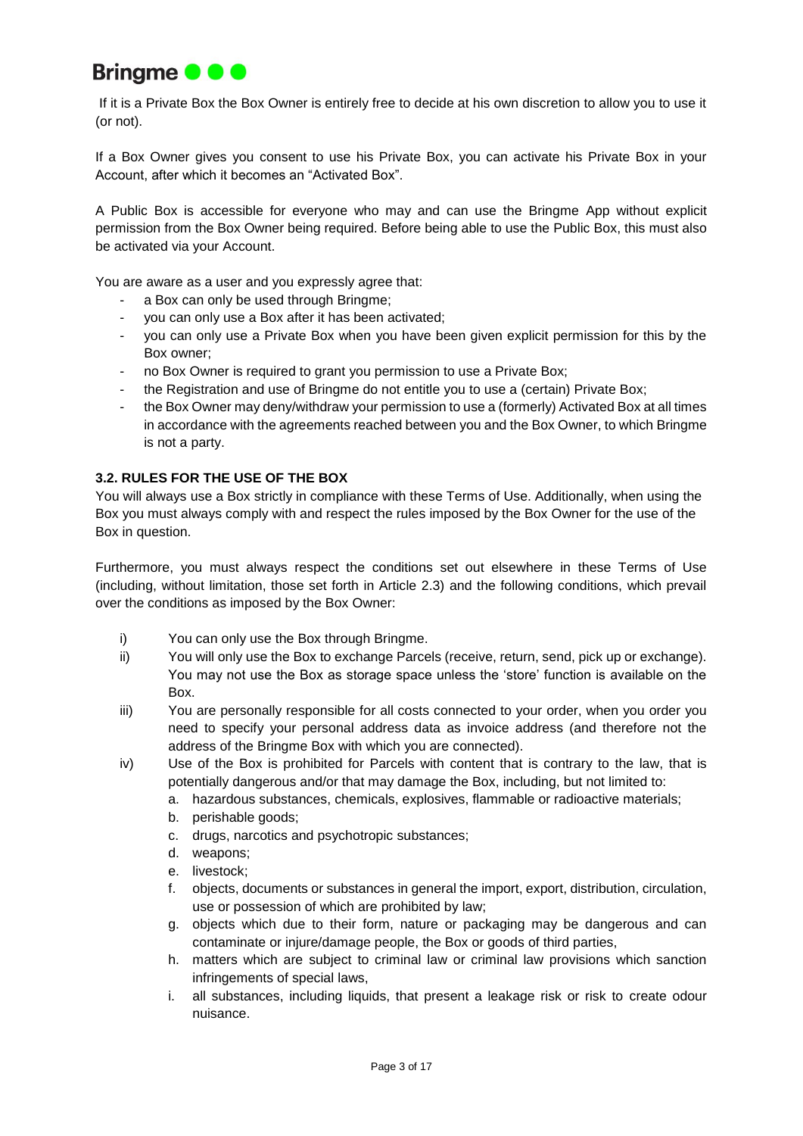

If it is a Private Box the Box Owner is entirely free to decide at his own discretion to allow you to use it (or not).

If a Box Owner gives you consent to use his Private Box, you can activate his Private Box in your Account, after which it becomes an "Activated Box".

A Public Box is accessible for everyone who may and can use the Bringme App without explicit permission from the Box Owner being required. Before being able to use the Public Box, this must also be activated via your Account.

You are aware as a user and you expressly agree that:

- a Box can only be used through Bringme;
- you can only use a Box after it has been activated;
- you can only use a Private Box when you have been given explicit permission for this by the Box owner;
- no Box Owner is required to grant you permission to use a Private Box;
- the Registration and use of Bringme do not entitle you to use a (certain) Private Box;
- the Box Owner may deny/withdraw your permission to use a (formerly) Activated Box at all times in accordance with the agreements reached between you and the Box Owner, to which Bringme is not a party.

## **3.2. RULES FOR THE USE OF THE BOX**

You will always use a Box strictly in compliance with these Terms of Use. Additionally, when using the Box you must always comply with and respect the rules imposed by the Box Owner for the use of the Box in question.

Furthermore, you must always respect the conditions set out elsewhere in these Terms of Use (including, without limitation, those set forth in Article 2.3) and the following conditions, which prevail over the conditions as imposed by the Box Owner:

- i) You can only use the Box through Bringme.
- ii) You will only use the Box to exchange Parcels (receive, return, send, pick up or exchange). You may not use the Box as storage space unless the 'store' function is available on the Box.
- iii) You are personally responsible for all costs connected to your order, when you order you need to specify your personal address data as invoice address (and therefore not the address of the Bringme Box with which you are connected).
- iv) Use of the Box is prohibited for Parcels with content that is contrary to the law, that is potentially dangerous and/or that may damage the Box, including, but not limited to:
	- a. hazardous substances, chemicals, explosives, flammable or radioactive materials;
	- b. perishable goods;
	- c. drugs, narcotics and psychotropic substances;
	- d. weapons;
	- e. livestock;
	- f. objects, documents or substances in general the import, export, distribution, circulation, use or possession of which are prohibited by law;
	- g. objects which due to their form, nature or packaging may be dangerous and can contaminate or injure/damage people, the Box or goods of third parties,
	- h. matters which are subject to criminal law or criminal law provisions which sanction infringements of special laws,
	- i. all substances, including liquids, that present a leakage risk or risk to create odour nuisance.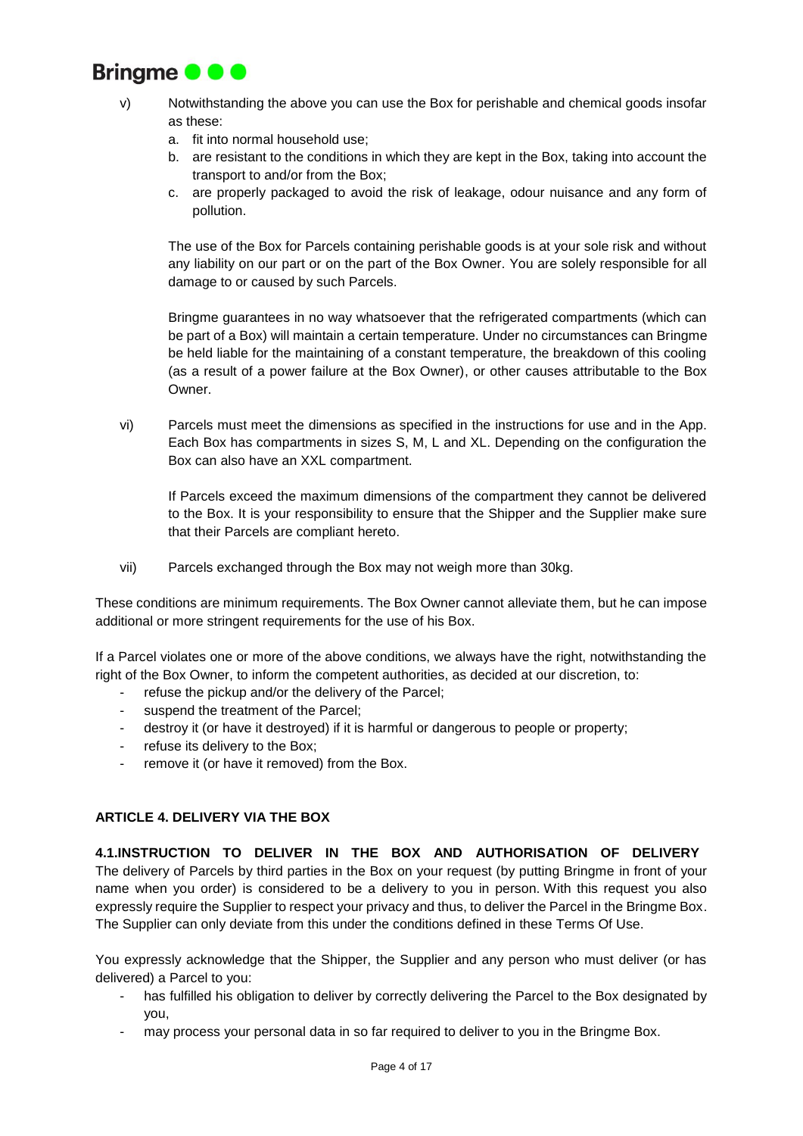

- v) Notwithstanding the above you can use the Box for perishable and chemical goods insofar as these:
	- a. fit into normal household use;
	- b. are resistant to the conditions in which they are kept in the Box, taking into account the transport to and/or from the Box;
	- c. are properly packaged to avoid the risk of leakage, odour nuisance and any form of pollution.

The use of the Box for Parcels containing perishable goods is at your sole risk and without any liability on our part or on the part of the Box Owner. You are solely responsible for all damage to or caused by such Parcels.

Bringme guarantees in no way whatsoever that the refrigerated compartments (which can be part of a Box) will maintain a certain temperature. Under no circumstances can Bringme be held liable for the maintaining of a constant temperature, the breakdown of this cooling (as a result of a power failure at the Box Owner), or other causes attributable to the Box Owner.

vi) Parcels must meet the dimensions as specified in the instructions for use and in the App. Each Box has compartments in sizes S, M, L and XL. Depending on the configuration the Box can also have an XXL compartment.

If Parcels exceed the maximum dimensions of the compartment they cannot be delivered to the Box. It is your responsibility to ensure that the Shipper and the Supplier make sure that their Parcels are compliant hereto.

vii) Parcels exchanged through the Box may not weigh more than 30kg.

These conditions are minimum requirements. The Box Owner cannot alleviate them, but he can impose additional or more stringent requirements for the use of his Box.

If a Parcel violates one or more of the above conditions, we always have the right, notwithstanding the right of the Box Owner, to inform the competent authorities, as decided at our discretion, to:

- refuse the pickup and/or the delivery of the Parcel;
- suspend the treatment of the Parcel;
- destroy it (or have it destroyed) if it is harmful or dangerous to people or property;
- refuse its delivery to the Box;
- remove it (or have it removed) from the Box.

# **ARTICLE 4. DELIVERY VIA THE BOX**

**4.1.INSTRUCTION TO DELIVER IN THE BOX AND AUTHORISATION OF DELIVERY** The delivery of Parcels by third parties in the Box on your request (by putting Bringme in front of your name when you order) is considered to be a delivery to you in person. With this request you also expressly require the Supplier to respect your privacy and thus, to deliver the Parcel in the Bringme Box. The Supplier can only deviate from this under the conditions defined in these Terms Of Use.

You expressly acknowledge that the Shipper, the Supplier and any person who must deliver (or has delivered) a Parcel to you:

- has fulfilled his obligation to deliver by correctly delivering the Parcel to the Box designated by you,
- may process your personal data in so far required to deliver to you in the Bringme Box.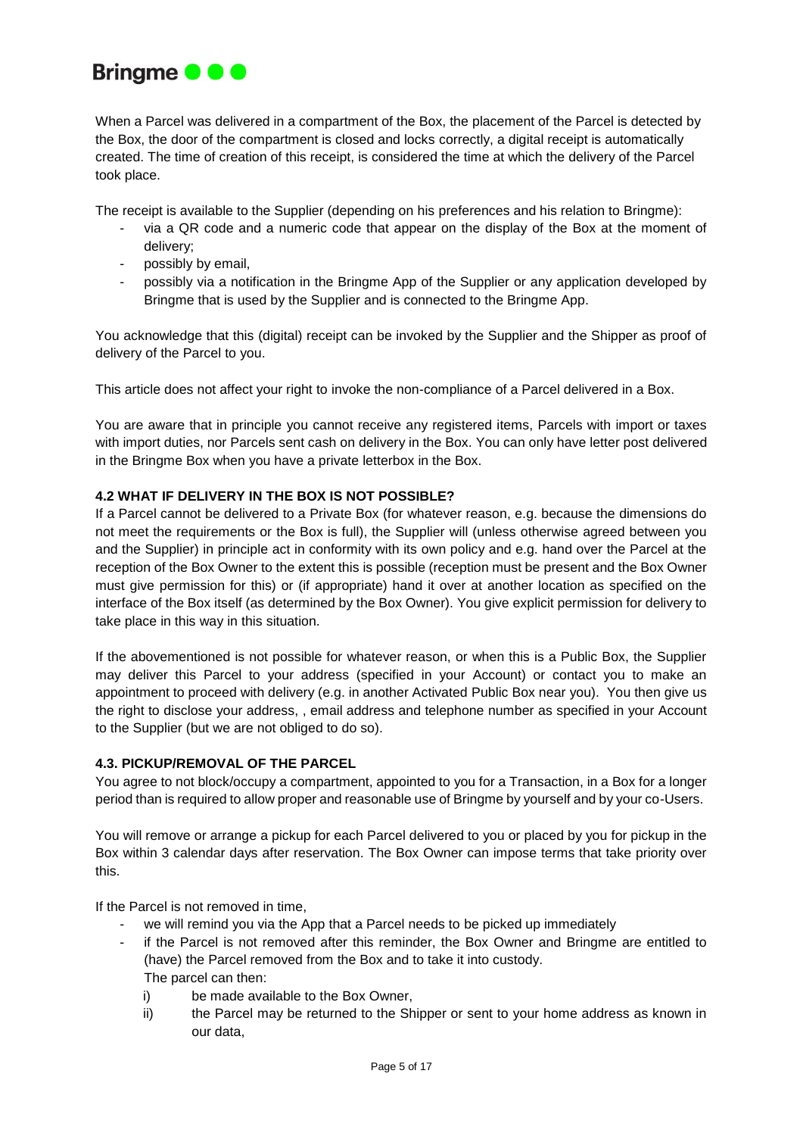

When a Parcel was delivered in a compartment of the Box, the placement of the Parcel is detected by the Box, the door of the compartment is closed and locks correctly, a digital receipt is automatically created. The time of creation of this receipt, is considered the time at which the delivery of the Parcel took place.

The receipt is available to the Supplier (depending on his preferences and his relation to Bringme):

- via a QR code and a numeric code that appear on the display of the Box at the moment of delivery;
- possibly by email,
- possibly via a notification in the Bringme App of the Supplier or any application developed by Bringme that is used by the Supplier and is connected to the Bringme App.

You acknowledge that this (digital) receipt can be invoked by the Supplier and the Shipper as proof of delivery of the Parcel to you.

This article does not affect your right to invoke the non-compliance of a Parcel delivered in a Box.

You are aware that in principle you cannot receive any registered items, Parcels with import or taxes with import duties, nor Parcels sent cash on delivery in the Box. You can only have letter post delivered in the Bringme Box when you have a private letterbox in the Box.

## **4.2 WHAT IF DELIVERY IN THE BOX IS NOT POSSIBLE?**

If a Parcel cannot be delivered to a Private Box (for whatever reason, e.g. because the dimensions do not meet the requirements or the Box is full), the Supplier will (unless otherwise agreed between you and the Supplier) in principle act in conformity with its own policy and e.g. hand over the Parcel at the reception of the Box Owner to the extent this is possible (reception must be present and the Box Owner must give permission for this) or (if appropriate) hand it over at another location as specified on the interface of the Box itself (as determined by the Box Owner). You give explicit permission for delivery to take place in this way in this situation.

If the abovementioned is not possible for whatever reason, or when this is a Public Box, the Supplier may deliver this Parcel to your address (specified in your Account) or contact you to make an appointment to proceed with delivery (e.g. in another Activated Public Box near you). You then give us the right to disclose your address, , email address and telephone number as specified in your Account to the Supplier (but we are not obliged to do so).

## **4.3. PICKUP/REMOVAL OF THE PARCEL**

You agree to not block/occupy a compartment, appointed to you for a Transaction, in a Box for a longer period than is required to allow proper and reasonable use of Bringme by yourself and by your co-Users.

You will remove or arrange a pickup for each Parcel delivered to you or placed by you for pickup in the Box within 3 calendar days after reservation. The Box Owner can impose terms that take priority over this.

If the Parcel is not removed in time,

- we will remind you via the App that a Parcel needs to be picked up immediately
- if the Parcel is not removed after this reminder, the Box Owner and Bringme are entitled to (have) the Parcel removed from the Box and to take it into custody. The parcel can then:
	- i) be made available to the Box Owner,
	- ii) the Parcel may be returned to the Shipper or sent to your home address as known in our data,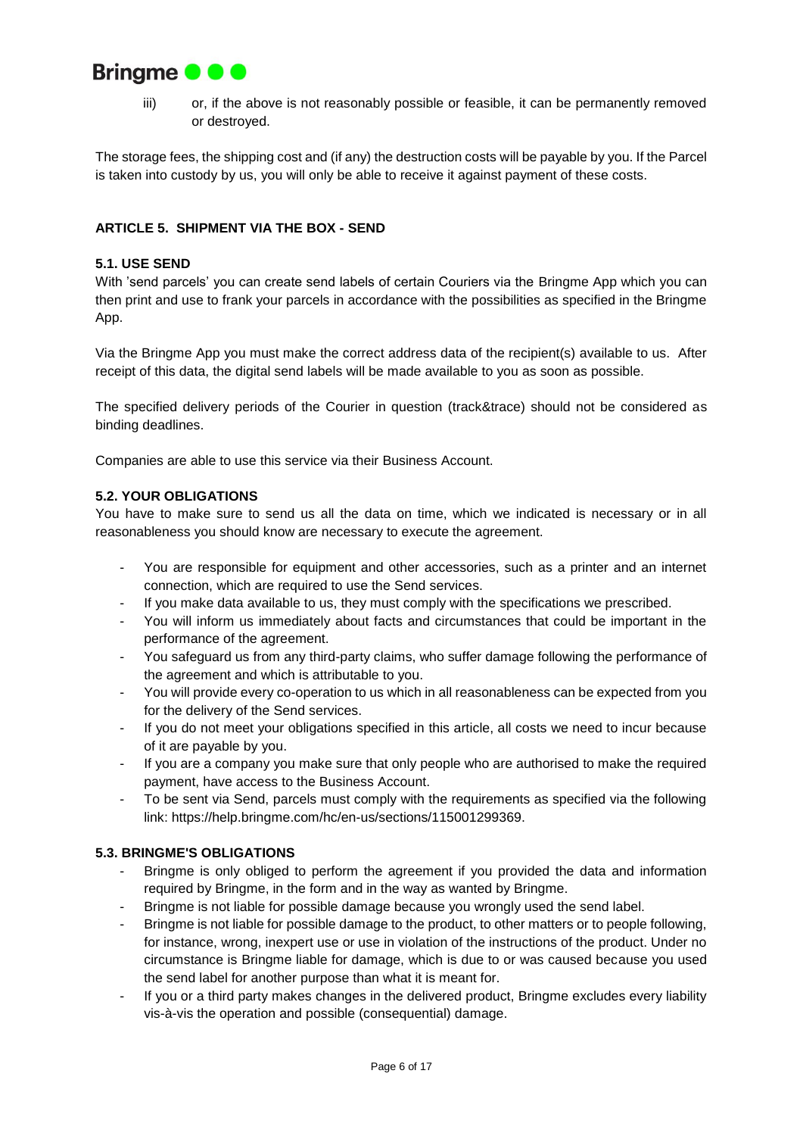

iii) or, if the above is not reasonably possible or feasible, it can be permanently removed or destroyed.

The storage fees, the shipping cost and (if any) the destruction costs will be payable by you. If the Parcel is taken into custody by us, you will only be able to receive it against payment of these costs.

# **ARTICLE 5. SHIPMENT VIA THE BOX - SEND**

## **5.1. USE SEND**

With 'send parcels' you can create send labels of certain Couriers via the Bringme App which you can then print and use to frank your parcels in accordance with the possibilities as specified in the Bringme App.

Via the Bringme App you must make the correct address data of the recipient(s) available to us. After receipt of this data, the digital send labels will be made available to you as soon as possible.

The specified delivery periods of the Courier in question (track&trace) should not be considered as binding deadlines.

Companies are able to use this service via their Business Account.

## **5.2. YOUR OBLIGATIONS**

You have to make sure to send us all the data on time, which we indicated is necessary or in all reasonableness you should know are necessary to execute the agreement.

- You are responsible for equipment and other accessories, such as a printer and an internet connection, which are required to use the Send services.
- If you make data available to us, they must comply with the specifications we prescribed.
- You will inform us immediately about facts and circumstances that could be important in the performance of the agreement.
- You safeguard us from any third-party claims, who suffer damage following the performance of the agreement and which is attributable to you.
- You will provide every co-operation to us which in all reasonableness can be expected from you for the delivery of the Send services.
- If you do not meet your obligations specified in this article, all costs we need to incur because of it are payable by you.
- If you are a company you make sure that only people who are authorised to make the required payment, have access to the Business Account.
- To be sent via Send, parcels must comply with the requirements as specified via the following link: https://help.bringme.com/hc/en-us/sections/115001299369.

## **5.3. BRINGME'S OBLIGATIONS**

- Bringme is only obliged to perform the agreement if you provided the data and information required by Bringme, in the form and in the way as wanted by Bringme.
- Bringme is not liable for possible damage because you wrongly used the send label.
- Bringme is not liable for possible damage to the product, to other matters or to people following, for instance, wrong, inexpert use or use in violation of the instructions of the product. Under no circumstance is Bringme liable for damage, which is due to or was caused because you used the send label for another purpose than what it is meant for.
- If you or a third party makes changes in the delivered product, Bringme excludes every liability vis-à-vis the operation and possible (consequential) damage.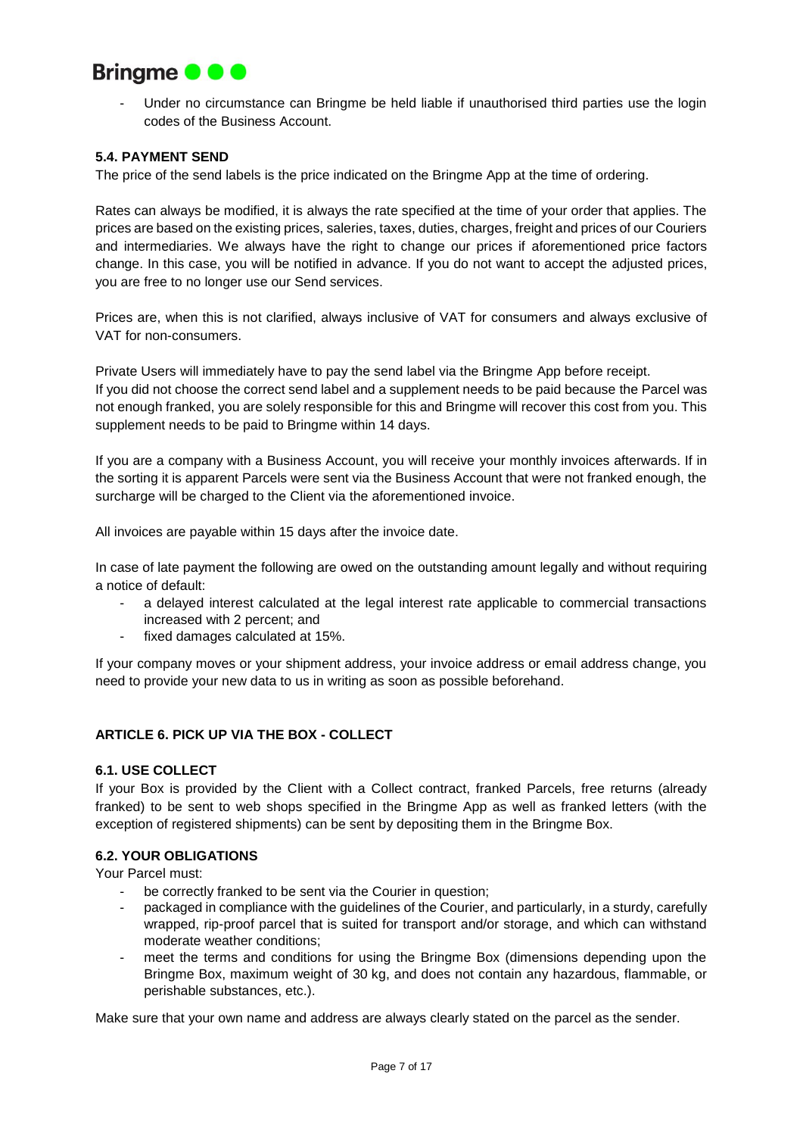

Under no circumstance can Bringme be held liable if unauthorised third parties use the login codes of the Business Account.

## **5.4. PAYMENT SEND**

The price of the send labels is the price indicated on the Bringme App at the time of ordering.

Rates can always be modified, it is always the rate specified at the time of your order that applies. The prices are based on the existing prices, saleries, taxes, duties, charges, freight and prices of our Couriers and intermediaries. We always have the right to change our prices if aforementioned price factors change. In this case, you will be notified in advance. If you do not want to accept the adjusted prices, you are free to no longer use our Send services.

Prices are, when this is not clarified, always inclusive of VAT for consumers and always exclusive of VAT for non-consumers.

Private Users will immediately have to pay the send label via the Bringme App before receipt. If you did not choose the correct send label and a supplement needs to be paid because the Parcel was not enough franked, you are solely responsible for this and Bringme will recover this cost from you. This supplement needs to be paid to Bringme within 14 days.

If you are a company with a Business Account, you will receive your monthly invoices afterwards. If in the sorting it is apparent Parcels were sent via the Business Account that were not franked enough, the surcharge will be charged to the Client via the aforementioned invoice.

All invoices are payable within 15 days after the invoice date.

In case of late payment the following are owed on the outstanding amount legally and without requiring a notice of default:

- a delayed interest calculated at the legal interest rate applicable to commercial transactions increased with 2 percent; and
- fixed damages calculated at 15%.

If your company moves or your shipment address, your invoice address or email address change, you need to provide your new data to us in writing as soon as possible beforehand.

## **ARTICLE 6. PICK UP VIA THE BOX - COLLECT**

# **6.1. USE COLLECT**

If your Box is provided by the Client with a Collect contract, franked Parcels, free returns (already franked) to be sent to web shops specified in the Bringme App as well as franked letters (with the exception of registered shipments) can be sent by depositing them in the Bringme Box.

## **6.2. YOUR OBLIGATIONS**

Your Parcel must:

- be correctly franked to be sent via the Courier in question;
- packaged in compliance with the guidelines of the Courier, and particularly, in a sturdy, carefully wrapped, rip-proof parcel that is suited for transport and/or storage, and which can withstand moderate weather conditions;
- meet the terms and conditions for using the Bringme Box (dimensions depending upon the Bringme Box, maximum weight of 30 kg, and does not contain any hazardous, flammable, or perishable substances, etc.).

Make sure that your own name and address are always clearly stated on the parcel as the sender.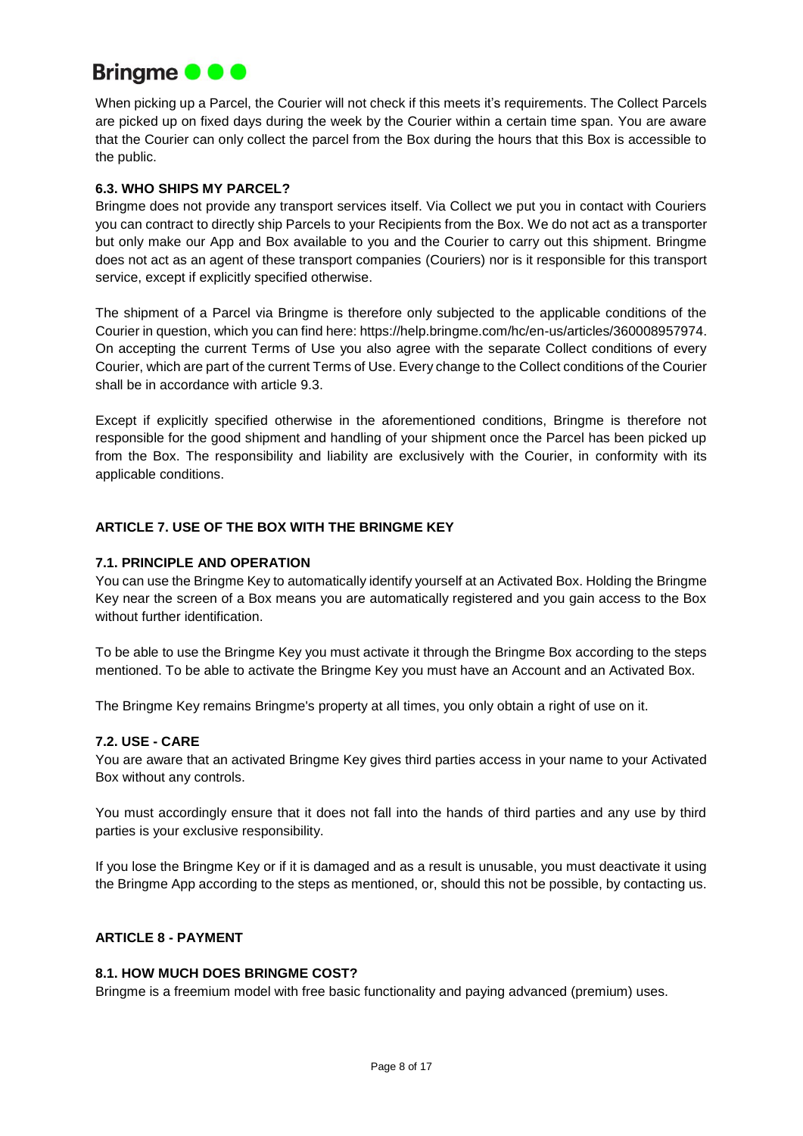

When picking up a Parcel, the Courier will not check if this meets it's requirements. The Collect Parcels are picked up on fixed days during the week by the Courier within a certain time span. You are aware that the Courier can only collect the parcel from the Box during the hours that this Box is accessible to the public.

# **6.3. WHO SHIPS MY PARCEL?**

Bringme does not provide any transport services itself. Via Collect we put you in contact with Couriers you can contract to directly ship Parcels to your Recipients from the Box. We do not act as a transporter but only make our App and Box available to you and the Courier to carry out this shipment. Bringme does not act as an agent of these transport companies (Couriers) nor is it responsible for this transport service, except if explicitly specified otherwise.

The shipment of a Parcel via Bringme is therefore only subjected to the applicable conditions of the Courier in question, which you can find here: https://help.bringme.com/hc/en-us/articles/360008957974. On accepting the current Terms of Use you also agree with the separate Collect conditions of every Courier, which are part of the current Terms of Use. Every change to the Collect conditions of the Courier shall be in accordance with article 9.3.

Except if explicitly specified otherwise in the aforementioned conditions, Bringme is therefore not responsible for the good shipment and handling of your shipment once the Parcel has been picked up from the Box. The responsibility and liability are exclusively with the Courier, in conformity with its applicable conditions.

# **ARTICLE 7. USE OF THE BOX WITH THE BRINGME KEY**

# **7.1. PRINCIPLE AND OPERATION**

You can use the Bringme Key to automatically identify yourself at an Activated Box. Holding the Bringme Key near the screen of a Box means you are automatically registered and you gain access to the Box without further identification.

To be able to use the Bringme Key you must activate it through the Bringme Box according to the steps mentioned. To be able to activate the Bringme Key you must have an Account and an Activated Box.

The Bringme Key remains Bringme's property at all times, you only obtain a right of use on it.

## **7.2. USE - CARE**

You are aware that an activated Bringme Key gives third parties access in your name to your Activated Box without any controls.

You must accordingly ensure that it does not fall into the hands of third parties and any use by third parties is your exclusive responsibility.

If you lose the Bringme Key or if it is damaged and as a result is unusable, you must deactivate it using the Bringme App according to the steps as mentioned, or, should this not be possible, by contacting us.

## **ARTICLE 8 - PAYMENT**

## **8.1. HOW MUCH DOES BRINGME COST?**

Bringme is a freemium model with free basic functionality and paying advanced (premium) uses.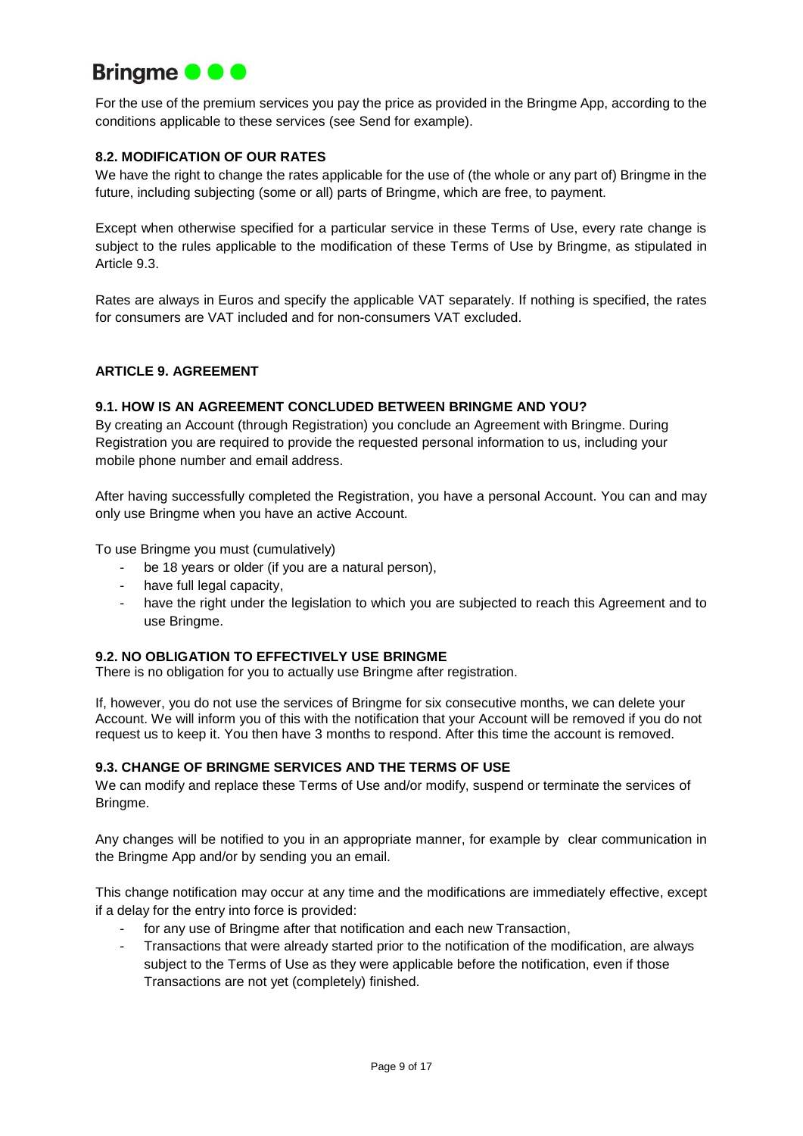

For the use of the premium services you pay the price as provided in the Bringme App, according to the conditions applicable to these services (see Send for example).

# **8.2. MODIFICATION OF OUR RATES**

We have the right to change the rates applicable for the use of (the whole or any part of) Bringme in the future, including subjecting (some or all) parts of Bringme, which are free, to payment.

Except when otherwise specified for a particular service in these Terms of Use, every rate change is subject to the rules applicable to the modification of these Terms of Use by Bringme, as stipulated in Article 9.3.

Rates are always in Euros and specify the applicable VAT separately. If nothing is specified, the rates for consumers are VAT included and for non-consumers VAT excluded.

## **ARTICLE 9. AGREEMENT**

#### **9.1. HOW IS AN AGREEMENT CONCLUDED BETWEEN BRINGME AND YOU?**

By creating an Account (through Registration) you conclude an Agreement with Bringme. During Registration you are required to provide the requested personal information to us, including your mobile phone number and email address.

After having successfully completed the Registration, you have a personal Account. You can and may only use Bringme when you have an active Account.

To use Bringme you must (cumulatively)

- be 18 years or older (if you are a natural person),
- have full legal capacity.
- have the right under the legislation to which you are subjected to reach this Agreement and to use Bringme.

# **9.2. NO OBLIGATION TO EFFECTIVELY USE BRINGME**

There is no obligation for you to actually use Bringme after registration.

If, however, you do not use the services of Bringme for six consecutive months, we can delete your Account. We will inform you of this with the notification that your Account will be removed if you do not request us to keep it. You then have 3 months to respond. After this time the account is removed.

## **9.3. CHANGE OF BRINGME SERVICES AND THE TERMS OF USE**

We can modify and replace these Terms of Use and/or modify, suspend or terminate the services of Bringme.

Any changes will be notified to you in an appropriate manner, for example by clear communication in the Bringme App and/or by sending you an email.

This change notification may occur at any time and the modifications are immediately effective, except if a delay for the entry into force is provided:

- for any use of Bringme after that notification and each new Transaction,
- Transactions that were already started prior to the notification of the modification, are always subject to the Terms of Use as they were applicable before the notification, even if those Transactions are not yet (completely) finished.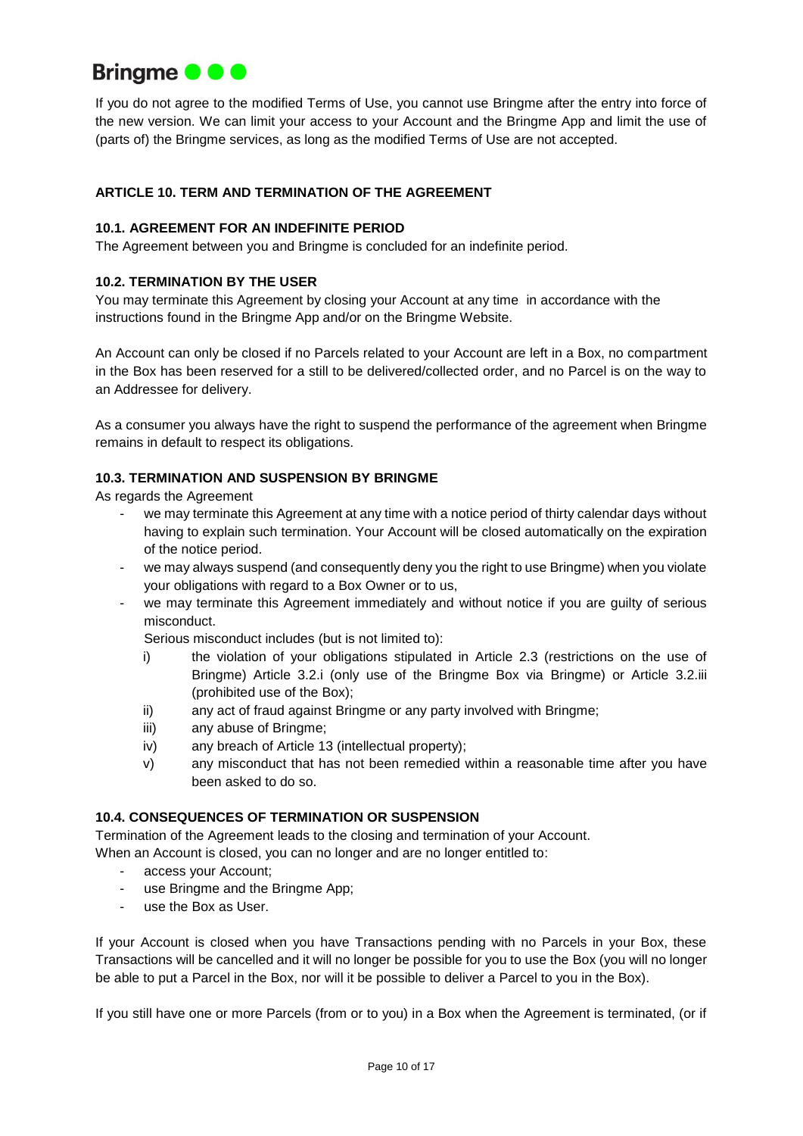

If you do not agree to the modified Terms of Use, you cannot use Bringme after the entry into force of the new version. We can limit your access to your Account and the Bringme App and limit the use of (parts of) the Bringme services, as long as the modified Terms of Use are not accepted.

# **ARTICLE 10. TERM AND TERMINATION OF THE AGREEMENT**

# **10.1. AGREEMENT FOR AN INDEFINITE PERIOD**

The Agreement between you and Bringme is concluded for an indefinite period.

## **10.2. TERMINATION BY THE USER**

You may terminate this Agreement by closing your Account at any time in accordance with the instructions found in the Bringme App and/or on the Bringme Website.

An Account can only be closed if no Parcels related to your Account are left in a Box, no compartment in the Box has been reserved for a still to be delivered/collected order, and no Parcel is on the way to an Addressee for delivery.

As a consumer you always have the right to suspend the performance of the agreement when Bringme remains in default to respect its obligations.

#### **10.3. TERMINATION AND SUSPENSION BY BRINGME**

As regards the Agreement

- we may terminate this Agreement at any time with a notice period of thirty calendar days without having to explain such termination. Your Account will be closed automatically on the expiration of the notice period.
- we may always suspend (and consequently deny you the right to use Bringme) when you violate your obligations with regard to a Box Owner or to us,
- we may terminate this Agreement immediately and without notice if you are guilty of serious misconduct.

Serious misconduct includes (but is not limited to):

- i) the violation of your obligations stipulated in Article 2.3 (restrictions on the use of Bringme) Article 3.2.i (only use of the Bringme Box via Bringme) or Article 3.2.iii (prohibited use of the Box);
- ii) any act of fraud against Bringme or any party involved with Bringme;
- iii) any abuse of Bringme;
- iv) any breach of Article 13 (intellectual property);
- v) any misconduct that has not been remedied within a reasonable time after you have been asked to do so.

#### **10.4. CONSEQUENCES OF TERMINATION OR SUSPENSION**

Termination of the Agreement leads to the closing and termination of your Account.

When an Account is closed, you can no longer and are no longer entitled to:

- access your Account;
- use Bringme and the Bringme App;
- use the Box as User.

If your Account is closed when you have Transactions pending with no Parcels in your Box, these Transactions will be cancelled and it will no longer be possible for you to use the Box (you will no longer be able to put a Parcel in the Box, nor will it be possible to deliver a Parcel to you in the Box).

If you still have one or more Parcels (from or to you) in a Box when the Agreement is terminated, (or if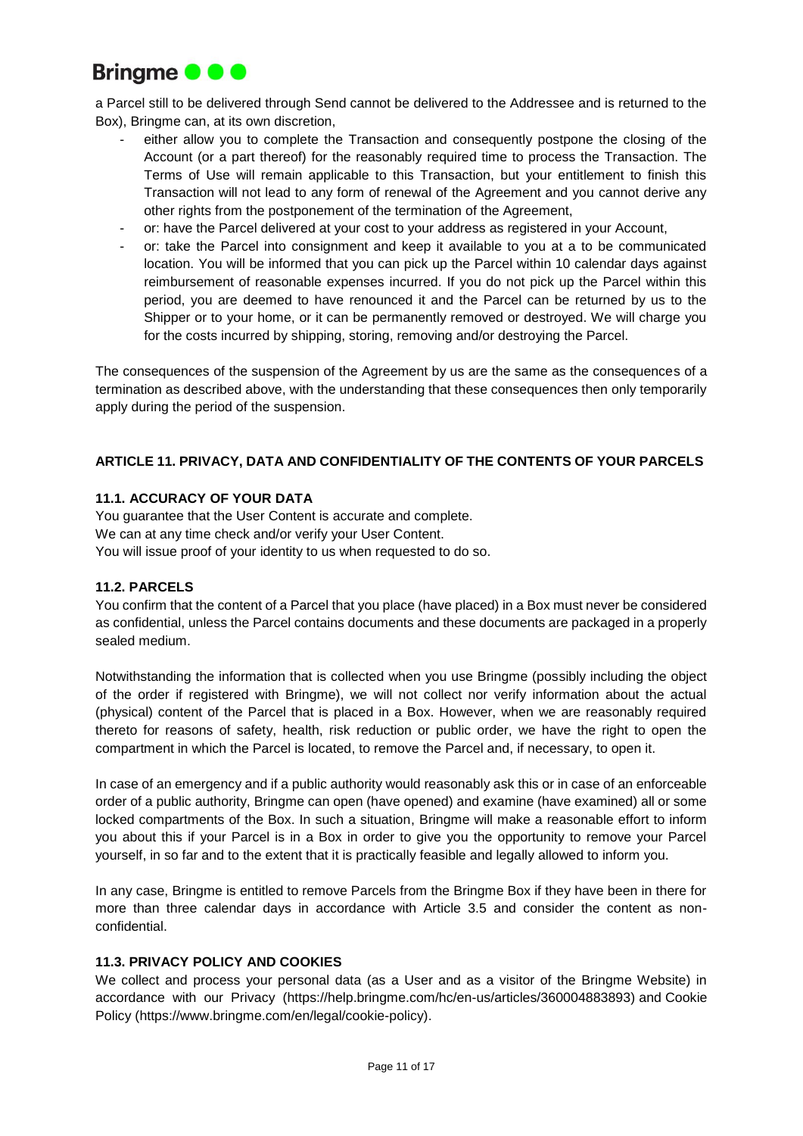

a Parcel still to be delivered through Send cannot be delivered to the Addressee and is returned to the Box), Bringme can, at its own discretion,

- either allow you to complete the Transaction and consequently postpone the closing of the Account (or a part thereof) for the reasonably required time to process the Transaction. The Terms of Use will remain applicable to this Transaction, but your entitlement to finish this Transaction will not lead to any form of renewal of the Agreement and you cannot derive any other rights from the postponement of the termination of the Agreement,
- or: have the Parcel delivered at your cost to your address as registered in your Account,
- or: take the Parcel into consignment and keep it available to you at a to be communicated location. You will be informed that you can pick up the Parcel within 10 calendar days against reimbursement of reasonable expenses incurred. If you do not pick up the Parcel within this period, you are deemed to have renounced it and the Parcel can be returned by us to the Shipper or to your home, or it can be permanently removed or destroyed. We will charge you for the costs incurred by shipping, storing, removing and/or destroying the Parcel.

The consequences of the suspension of the Agreement by us are the same as the consequences of a termination as described above, with the understanding that these consequences then only temporarily apply during the period of the suspension.

# **ARTICLE 11. PRIVACY, DATA AND CONFIDENTIALITY OF THE CONTENTS OF YOUR PARCELS**

# **11.1. ACCURACY OF YOUR DATA**

You guarantee that the User Content is accurate and complete. We can at any time check and/or verify your User Content. You will issue proof of your identity to us when requested to do so.

## **11.2. PARCELS**

You confirm that the content of a Parcel that you place (have placed) in a Box must never be considered as confidential, unless the Parcel contains documents and these documents are packaged in a properly sealed medium.

Notwithstanding the information that is collected when you use Bringme (possibly including the object of the order if registered with Bringme), we will not collect nor verify information about the actual (physical) content of the Parcel that is placed in a Box. However, when we are reasonably required thereto for reasons of safety, health, risk reduction or public order, we have the right to open the compartment in which the Parcel is located, to remove the Parcel and, if necessary, to open it.

In case of an emergency and if a public authority would reasonably ask this or in case of an enforceable order of a public authority, Bringme can open (have opened) and examine (have examined) all or some locked compartments of the Box. In such a situation, Bringme will make a reasonable effort to inform you about this if your Parcel is in a Box in order to give you the opportunity to remove your Parcel yourself, in so far and to the extent that it is practically feasible and legally allowed to inform you.

In any case, Bringme is entitled to remove Parcels from the Bringme Box if they have been in there for more than three calendar days in accordance with Article 3.5 and consider the content as nonconfidential.

## **11.3. PRIVACY POLICY AND COOKIES**

We collect and process your personal data (as a User and as a visitor of the Bringme Website) in accordance with our Privacy (https://help.bringme.com/hc/en-us/articles/360004883893) [and](https://www.bringme.com/nl/legal/cookiebeleid) Cookie Policy (https://www.bringme.com/en/legal/cookie-policy).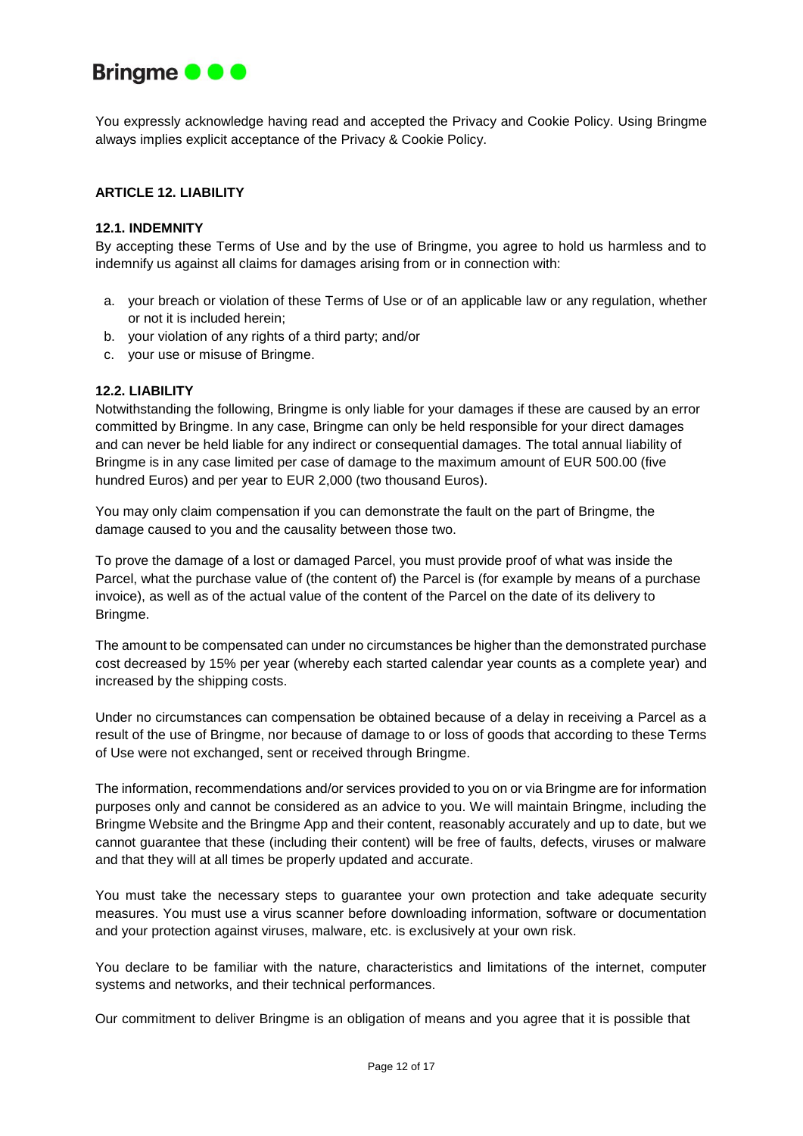

You expressly acknowledge having read and accepted the Privacy and Cookie Policy. Using Bringme always implies explicit acceptance of the Privacy & Cookie Policy.

## **ARTICLE 12. LIABILITY**

#### **12.1. INDEMNITY**

By accepting these Terms of Use and by the use of Bringme, you agree to hold us harmless and to indemnify us against all claims for damages arising from or in connection with:

- a. your breach or violation of these Terms of Use or of an applicable law or any regulation, whether or not it is included herein;
- b. your violation of any rights of a third party; and/or
- c. your use or misuse of Bringme.

#### **12.2. LIABILITY**

Notwithstanding the following, Bringme is only liable for your damages if these are caused by an error committed by Bringme. In any case, Bringme can only be held responsible for your direct damages and can never be held liable for any indirect or consequential damages. The total annual liability of Bringme is in any case limited per case of damage to the maximum amount of EUR 500.00 (five hundred Euros) and per year to EUR 2,000 (two thousand Euros).

You may only claim compensation if you can demonstrate the fault on the part of Bringme, the damage caused to you and the causality between those two.

To prove the damage of a lost or damaged Parcel, you must provide proof of what was inside the Parcel, what the purchase value of (the content of) the Parcel is (for example by means of a purchase invoice), as well as of the actual value of the content of the Parcel on the date of its delivery to Bringme.

The amount to be compensated can under no circumstances be higher than the demonstrated purchase cost decreased by 15% per year (whereby each started calendar year counts as a complete year) and increased by the shipping costs.

Under no circumstances can compensation be obtained because of a delay in receiving a Parcel as a result of the use of Bringme, nor because of damage to or loss of goods that according to these Terms of Use were not exchanged, sent or received through Bringme.

The information, recommendations and/or services provided to you on or via Bringme are for information purposes only and cannot be considered as an advice to you. We will maintain Bringme, including the Bringme Website and the Bringme App and their content, reasonably accurately and up to date, but we cannot guarantee that these (including their content) will be free of faults, defects, viruses or malware and that they will at all times be properly updated and accurate.

You must take the necessary steps to guarantee your own protection and take adequate security measures. You must use a virus scanner before downloading information, software or documentation and your protection against viruses, malware, etc. is exclusively at your own risk.

You declare to be familiar with the nature, characteristics and limitations of the internet, computer systems and networks, and their technical performances.

Our commitment to deliver Bringme is an obligation of means and you agree that it is possible that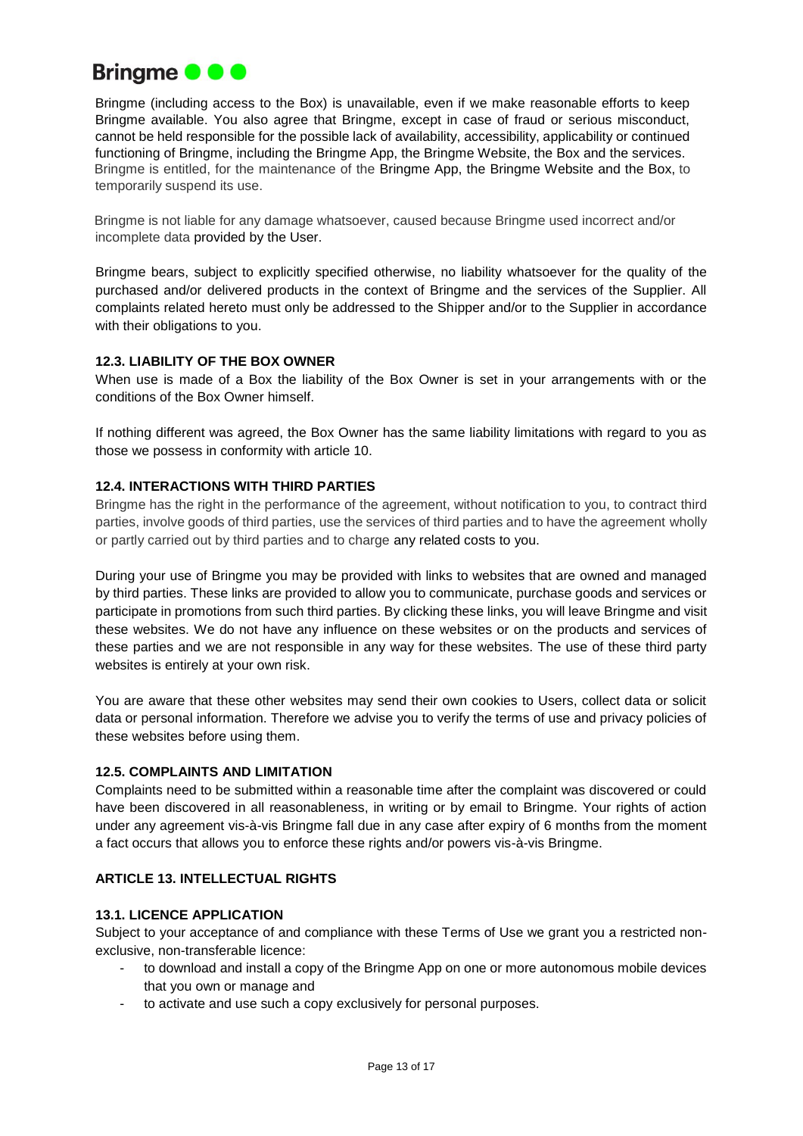

Bringme (including access to the Box) is unavailable, even if we make reasonable efforts to keep Bringme available. You also agree that Bringme, except in case of fraud or serious misconduct, cannot be held responsible for the possible lack of availability, accessibility, applicability or continued functioning of Bringme, including the Bringme App, the Bringme Website, the Box and the services. Bringme is entitled, for the maintenance of the Bringme App, the Bringme Website and the Box, to temporarily suspend its use.

Bringme is not liable for any damage whatsoever, caused because Bringme used incorrect and/or incomplete data provided by the User.

Bringme bears, subject to explicitly specified otherwise, no liability whatsoever for the quality of the purchased and/or delivered products in the context of Bringme and the services of the Supplier. All complaints related hereto must only be addressed to the Shipper and/or to the Supplier in accordance with their obligations to you.

## **12.3. LIABILITY OF THE BOX OWNER**

When use is made of a Box the liability of the Box Owner is set in your arrangements with or the conditions of the Box Owner himself.

If nothing different was agreed, the Box Owner has the same liability limitations with regard to you as those we possess in conformity with article 10.

#### **12.4. INTERACTIONS WITH THIRD PARTIES**

Bringme has the right in the performance of the agreement, without notification to you, to contract third parties, involve goods of third parties, use the services of third parties and to have the agreement wholly or partly carried out by third parties and to charge any related costs to you.

During your use of Bringme you may be provided with links to websites that are owned and managed by third parties. These links are provided to allow you to communicate, purchase goods and services or participate in promotions from such third parties. By clicking these links, you will leave Bringme and visit these websites. We do not have any influence on these websites or on the products and services of these parties and we are not responsible in any way for these websites. The use of these third party websites is entirely at your own risk.

You are aware that these other websites may send their own cookies to Users, collect data or solicit data or personal information. Therefore we advise you to verify the terms of use and privacy policies of these websites before using them.

### **12.5. COMPLAINTS AND LIMITATION**

Complaints need to be submitted within a reasonable time after the complaint was discovered or could have been discovered in all reasonableness, in writing or by email to Bringme. Your rights of action under any agreement vis-à-vis Bringme fall due in any case after expiry of 6 months from the moment a fact occurs that allows you to enforce these rights and/or powers vis-à-vis Bringme.

# **ARTICLE 13. INTELLECTUAL RIGHTS**

## **13.1. LICENCE APPLICATION**

Subject to your acceptance of and compliance with these Terms of Use we grant you a restricted nonexclusive, non-transferable licence:

- to download and install a copy of the Bringme App on one or more autonomous mobile devices that you own or manage and
- to activate and use such a copy exclusively for personal purposes.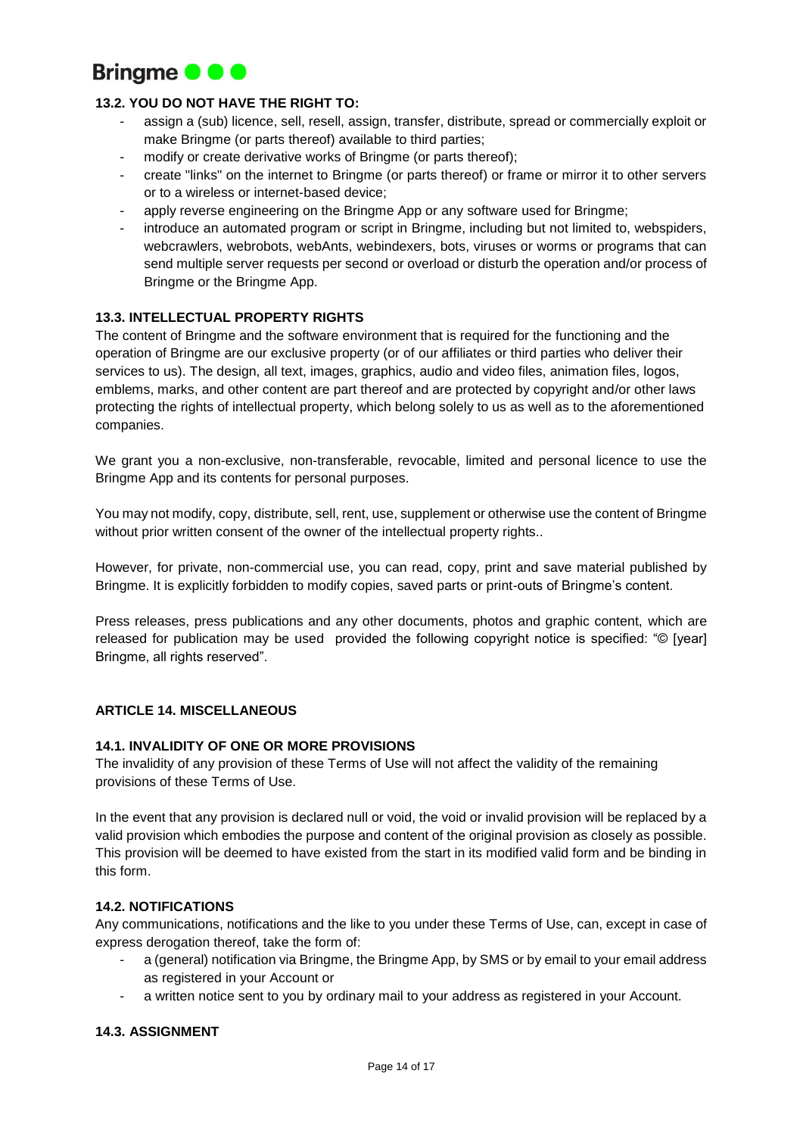

## **13.2. YOU DO NOT HAVE THE RIGHT TO:**

- assign a (sub) licence, sell, resell, assign, transfer, distribute, spread or commercially exploit or make Bringme (or parts thereof) available to third parties;
- modify or create derivative works of Bringme (or parts thereof);
- create "links" on the internet to Bringme (or parts thereof) or frame or mirror it to other servers or to a wireless or internet-based device;
- apply reverse engineering on the Bringme App or any software used for Bringme;
- introduce an automated program or script in Bringme, including but not limited to, webspiders, webcrawlers, webrobots, webAnts, webindexers, bots, viruses or worms or programs that can send multiple server requests per second or overload or disturb the operation and/or process of Bringme or the Bringme App.

## **13.3. INTELLECTUAL PROPERTY RIGHTS**

The content of Bringme and the software environment that is required for the functioning and the operation of Bringme are our exclusive property (or of our affiliates or third parties who deliver their services to us). The design, all text, images, graphics, audio and video files, animation files, logos, emblems, marks, and other content are part thereof and are protected by copyright and/or other laws protecting the rights of intellectual property, which belong solely to us as well as to the aforementioned companies.

We grant you a non-exclusive, non-transferable, revocable, limited and personal licence to use the Bringme App and its contents for personal purposes.

You may not modify, copy, distribute, sell, rent, use, supplement or otherwise use the content of Bringme without prior written consent of the owner of the intellectual property rights..

However, for private, non-commercial use, you can read, copy, print and save material published by Bringme. It is explicitly forbidden to modify copies, saved parts or print-outs of Bringme's content.

Press releases, press publications and any other documents, photos and graphic content, which are released for publication may be used provided the following copyright notice is specified: "© [year] Bringme, all rights reserved".

## **ARTICLE 14. MISCELLANEOUS**

## **14.1. INVALIDITY OF ONE OR MORE PROVISIONS**

The invalidity of any provision of these Terms of Use will not affect the validity of the remaining provisions of these Terms of Use.

In the event that any provision is declared null or void, the void or invalid provision will be replaced by a valid provision which embodies the purpose and content of the original provision as closely as possible. This provision will be deemed to have existed from the start in its modified valid form and be binding in this form.

## **14.2. NOTIFICATIONS**

Any communications, notifications and the like to you under these Terms of Use, can, except in case of express derogation thereof, take the form of:

- a (general) notification via Bringme, the Bringme App, by SMS or by email to your email address as registered in your Account or
- a written notice sent to you by ordinary mail to your address as registered in your Account.

#### **14.3. ASSIGNMENT**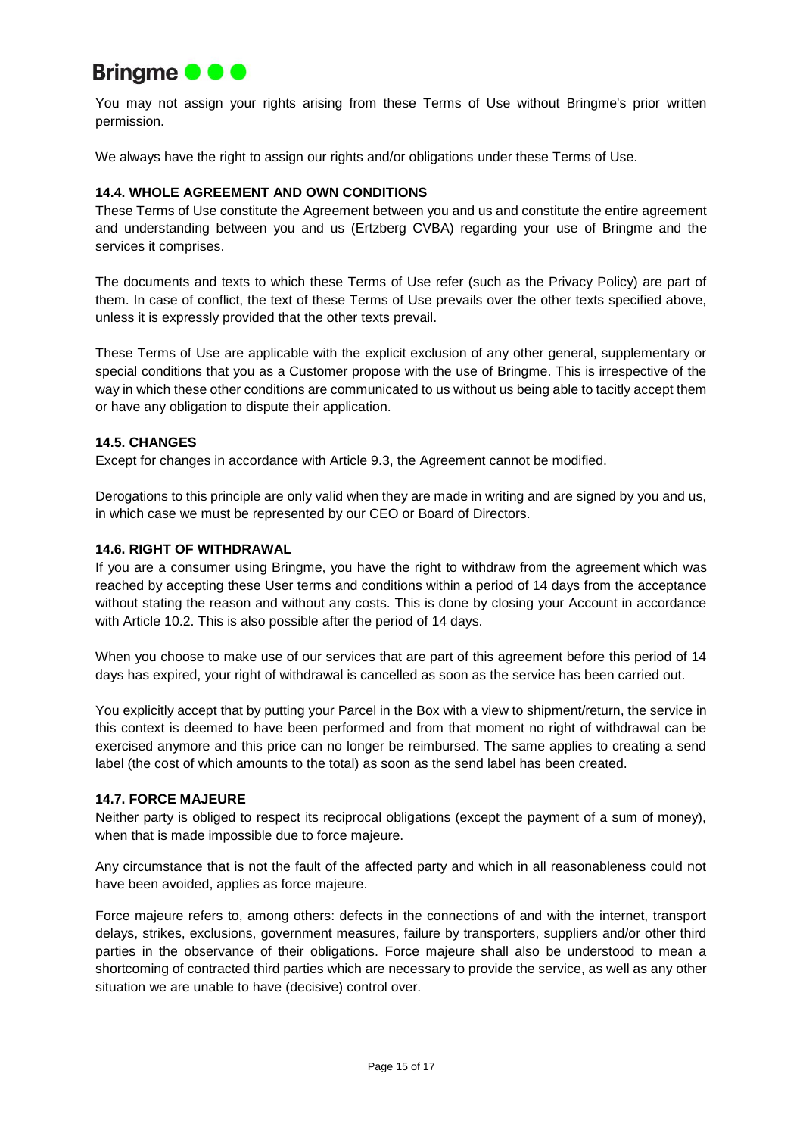

You may not assign your rights arising from these Terms of Use without Bringme's prior written permission.

We always have the right to assign our rights and/or obligations under these Terms of Use.

# **14.4. WHOLE AGREEMENT AND OWN CONDITIONS**

These Terms of Use constitute the Agreement between you and us and constitute the entire agreement and understanding between you and us (Ertzberg CVBA) regarding your use of Bringme and the services it comprises.

The documents and texts to which these Terms of Use refer (such as the Privacy Policy) are part of them. In case of conflict, the text of these Terms of Use prevails over the other texts specified above, unless it is expressly provided that the other texts prevail.

These Terms of Use are applicable with the explicit exclusion of any other general, supplementary or special conditions that you as a Customer propose with the use of Bringme. This is irrespective of the way in which these other conditions are communicated to us without us being able to tacitly accept them or have any obligation to dispute their application.

## **14.5. CHANGES**

Except for changes in accordance with Article 9.3, the Agreement cannot be modified.

Derogations to this principle are only valid when they are made in writing and are signed by you and us, in which case we must be represented by our CEO or Board of Directors.

#### **14.6. RIGHT OF WITHDRAWAL**

If you are a consumer using Bringme, you have the right to withdraw from the agreement which was reached by accepting these User terms and conditions within a period of 14 days from the acceptance without stating the reason and without any costs. This is done by closing your Account in accordance with Article 10.2. This is also possible after the period of 14 days.

When you choose to make use of our services that are part of this agreement before this period of 14 days has expired, your right of withdrawal is cancelled as soon as the service has been carried out.

You explicitly accept that by putting your Parcel in the Box with a view to shipment/return, the service in this context is deemed to have been performed and from that moment no right of withdrawal can be exercised anymore and this price can no longer be reimbursed. The same applies to creating a send label (the cost of which amounts to the total) as soon as the send label has been created.

#### **14.7. FORCE MAJEURE**

Neither party is obliged to respect its reciprocal obligations (except the payment of a sum of money), when that is made impossible due to force majeure.

Any circumstance that is not the fault of the affected party and which in all reasonableness could not have been avoided, applies as force majeure.

Force majeure refers to, among others: defects in the connections of and with the internet, transport delays, strikes, exclusions, government measures, failure by transporters, suppliers and/or other third parties in the observance of their obligations. Force majeure shall also be understood to mean a shortcoming of contracted third parties which are necessary to provide the service, as well as any other situation we are unable to have (decisive) control over.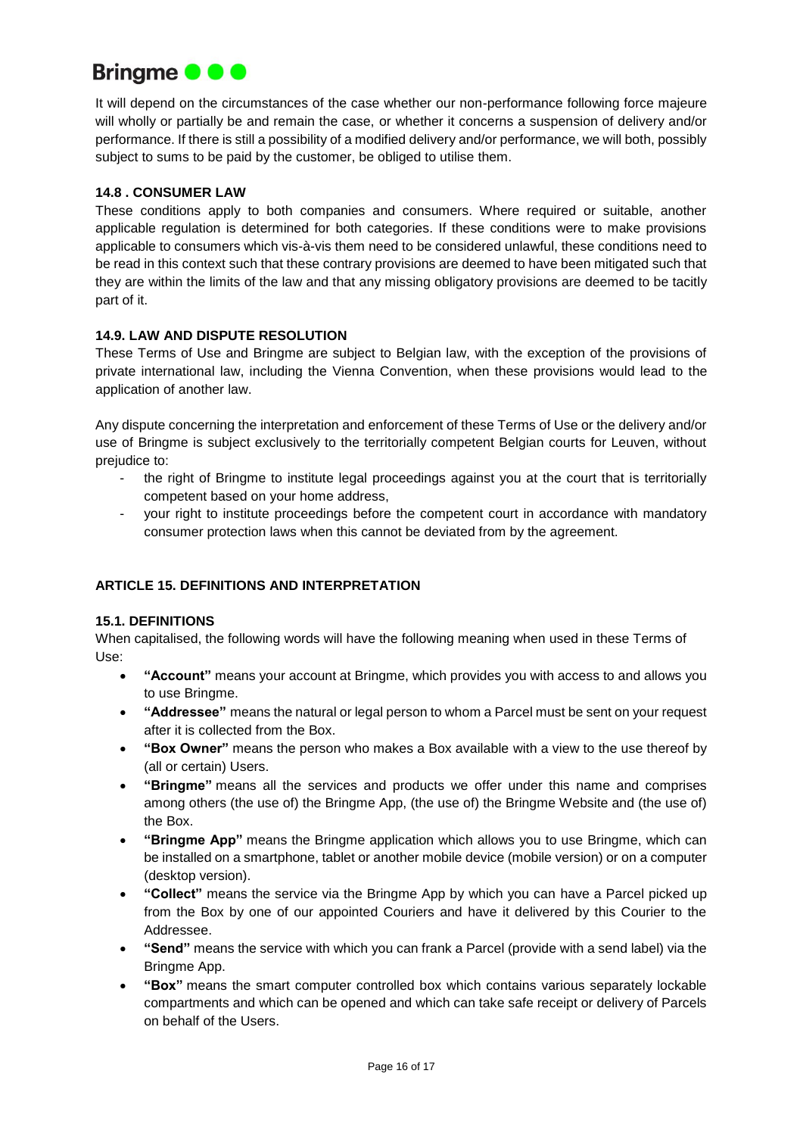

It will depend on the circumstances of the case whether our non-performance following force majeure will wholly or partially be and remain the case, or whether it concerns a suspension of delivery and/or performance. If there is still a possibility of a modified delivery and/or performance, we will both, possibly subject to sums to be paid by the customer, be obliged to utilise them.

# **14.8 . CONSUMER LAW**

These conditions apply to both companies and consumers. Where required or suitable, another applicable regulation is determined for both categories. If these conditions were to make provisions applicable to consumers which vis-à-vis them need to be considered unlawful, these conditions need to be read in this context such that these contrary provisions are deemed to have been mitigated such that they are within the limits of the law and that any missing obligatory provisions are deemed to be tacitly part of it.

## **14.9. LAW AND DISPUTE RESOLUTION**

These Terms of Use and Bringme are subject to Belgian law, with the exception of the provisions of private international law, including the Vienna Convention, when these provisions would lead to the application of another law.

Any dispute concerning the interpretation and enforcement of these Terms of Use or the delivery and/or use of Bringme is subject exclusively to the territorially competent Belgian courts for Leuven, without prejudice to:

- the right of Bringme to institute legal proceedings against you at the court that is territorially competent based on your home address,
- your right to institute proceedings before the competent court in accordance with mandatory consumer protection laws when this cannot be deviated from by the agreement.

# **ARTICLE 15. DEFINITIONS AND INTERPRETATION**

## **15.1. DEFINITIONS**

When capitalised, the following words will have the following meaning when used in these Terms of Use:

- **"Account"** means your account at Bringme, which provides you with access to and allows you to use Bringme.
- **"Addressee"** means the natural or legal person to whom a Parcel must be sent on your request after it is collected from the Box.
- **"Box Owner"** means the person who makes a Box available with a view to the use thereof by (all or certain) Users.
- **"Bringme"** means all the services and products we offer under this name and comprises among others (the use of) the Bringme App, (the use of) the Bringme Website and (the use of) the Box.
- **"Bringme App"** means the Bringme application which allows you to use Bringme, which can be installed on a smartphone, tablet or another mobile device (mobile version) or on a computer (desktop version).
- **"Collect"** means the service via the Bringme App by which you can have a Parcel picked up from the Box by one of our appointed Couriers and have it delivered by this Courier to the Addressee.
- **"Send"** means the service with which you can frank a Parcel (provide with a send label) via the Bringme App.
- **"Box"** means the smart computer controlled box which contains various separately lockable compartments and which can be opened and which can take safe receipt or delivery of Parcels on behalf of the Users.